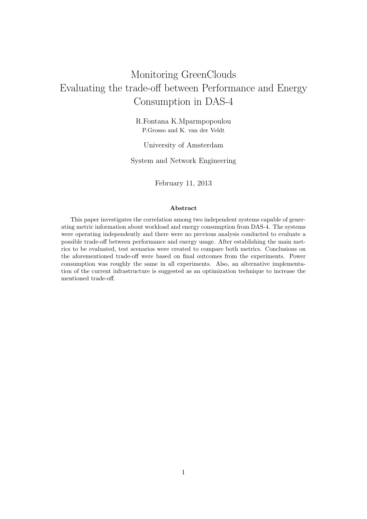# Monitoring GreenClouds Evaluating the trade-off between Performance and Energy Consumption in DAS-4

R.Fontana K.Mparmpopoulou P.Grosso and K. van der Veldt

University of Amsterdam

System and Network Engineering

February 11, 2013

#### Abstract

This paper investigates the correlation among two independent systems capable of generating metric information about workload and energy consumption from DAS-4. The systems were operating independently and there were no previous analysis conducted to evaluate a possible trade-off between performance and energy usage. After establishing the main metrics to be evaluated, test scenarios were created to compare both metrics. Conclusions on the aforementioned trade-off were based on final outcomes from the experiments. Power consumption was roughly the same in all experiments. Also, an alternative implementation of the current infrastructure is suggested as an optimization technique to increase the mentioned trade-off.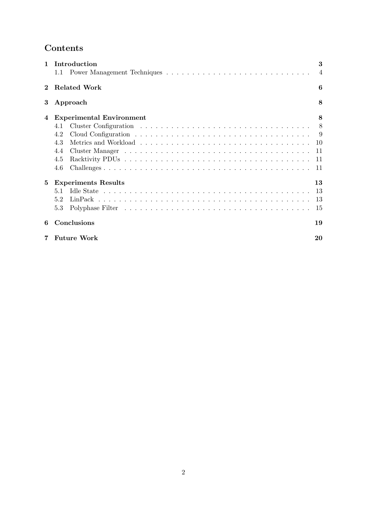## Contents

| 1 | Introduction<br>1.1             | 3<br>$\overline{4}$ |
|---|---------------------------------|---------------------|
|   | <b>Related Work</b>             | 6                   |
| 3 | Approach                        | 8                   |
| 4 | <b>Experimental Environment</b> | 8                   |
|   | 4.1                             | 8                   |
|   | 4.2                             | -9                  |
|   | 4.3                             | 10                  |
|   | 4.4                             | 11                  |
|   | 4.5                             | 11                  |
|   | 4.6                             | -11                 |
| 5 | <b>Experiments Results</b>      | 13                  |
|   | 5.1                             | 13                  |
|   | 5.2                             | 13                  |
|   | 5.3                             | 15                  |
| 6 | Conclusions                     | 19                  |
|   | <b>Future Work</b>              | 20                  |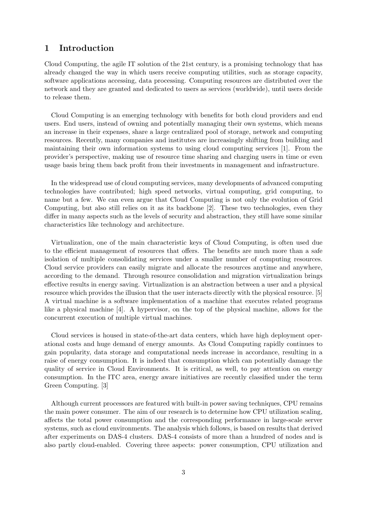## 1 Introduction

Cloud Computing, the agile IT solution of the 21st century, is a promising technology that has already changed the way in which users receive computing utilities, such as storage capacity, software applications accessing, data processing. Computing resources are distributed over the network and they are granted and dedicated to users as services (worldwide), until users decide to release them.

Cloud Computing is an emerging technology with benefits for both cloud providers and end users. End users, instead of owning and potentially managing their own systems, which means an increase in their expenses, share a large centralized pool of storage, network and computing resources. Recently, many companies and institutes are increasingly shifting from building and maintaining their own information systems to using cloud computing services [1]. From the provider's perspective, making use of resource time sharing and charging users in time or even usage basis bring them back profit from their investments in management and infrastructure.

In the widespread use of cloud computing services, many developments of advanced computing technologies have contributed; high speed networks, virtual computing, grid computing, to name but a few. We can even argue that Cloud Computing is not only the evolution of Grid Computing, but also still relies on it as its backbone [2]. These two technologies, even they differ in many aspects such as the levels of security and abstraction, they still have some similar characteristics like technology and architecture.

Virtualization, one of the main characteristic keys of Cloud Computing, is often used due to the efficient management of resources that offers. The benefits are much more than a safe isolation of multiple consolidating services under a smaller number of computing resources. Cloud service providers can easily migrate and allocate the resources anytime and anywhere, according to the demand. Through resource consolidation and migration virtualization brings effective results in energy saving. Virtualization is an abstraction between a user and a physical resource which provides the illusion that the user interacts directly with the physical resource. [5] A virtual machine is a software implementation of a machine that executes related programs like a physical machine [4]. A hypervisor, on the top of the physical machine, allows for the concurrent execution of multiple virtual machines.

Cloud services is housed in state-of-the-art data centers, which have high deployment operational costs and huge demand of energy amounts. As Cloud Computing rapidly continues to gain popularity, data storage and computational needs increase in accordance, resulting in a raise of energy consumption. It is indeed that consumption which can potentially damage the quality of service in Cloud Environments. It is critical, as well, to pay attention on energy consumption. In the ITC area, energy aware initiatives are recently classified under the term Green Computing. [3]

Although current processors are featured with built-in power saving techniques, CPU remains the main power consumer. The aim of our research is to determine how CPU utilization scaling, affects the total power consumption and the corresponding performance in large-scale server systems, such as cloud environments. The analysis which follows, is based on results that derived after experiments on DAS-4 clusters. DAS-4 consists of more than a hundred of nodes and is also partly cloud-enabled. Covering three aspects: power consumption, CPU utilization and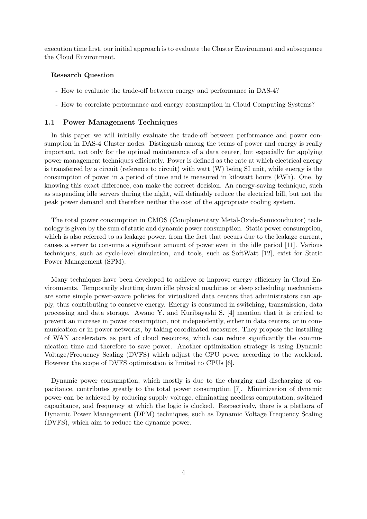execution time first, our initial approach is to evaluate the Cluster Environment and subsequence the Cloud Environment.

#### Research Question

- How to evaluate the trade-off between energy and performance in DAS-4?
- How to correlate performance and energy consumption in Cloud Computing Systems?

#### 1.1 Power Management Techniques

In this paper we will initially evaluate the trade-off between performance and power consumption in DAS-4 Cluster nodes. Distinguish among the terms of power and energy is really important, not only for the optimal maintenance of a data center, but especially for applying power management techniques efficiently. Power is defined as the rate at which electrical energy is transferred by a circuit (reference to circuit) with watt (W) being SI unit, while energy is the consumption of power in a period of time and is measured in kilowatt hours (kWh). One, by knowing this exact difference, can make the correct decision. An energy-saving technique, such as suspending idle servers during the night, will definably reduce the electrical bill, but not the peak power demand and therefore neither the cost of the appropriate cooling system.

The total power consumption in CMOS (Complementary Metal-Oxide-Semiconductor) technology is given by the sum of static and dynamic power consumption. Static power consumption, which is also referred to as leakage power, from the fact that occurs due to the leakage current, causes a server to consume a significant amount of power even in the idle period [11]. Various techniques, such as cycle-level simulation, and tools, such as SoftWatt [12], exist for Static Power Management (SPM).

Many techniques have been developed to achieve or improve energy efficiency in Cloud Environments. Temporarily shutting down idle physical machines or sleep scheduling mechanisms are some simple power-aware policies for virtualized data centers that administrators can apply, thus contributing to conserve energy. Energy is consumed in switching, transmission, data processing and data storage. Awano Y. and Kuribayashi S. [4] mention that it is critical to prevent an increase in power consumption, not independently, either in data centers, or in communication or in power networks, by taking coordinated measures. They propose the installing of WAN accelerators as part of cloud resources, which can reduce significantly the communication time and therefore to save power. Another optimization strategy is using Dynamic Voltage/Frequency Scaling (DVFS) which adjust the CPU power according to the workload. However the scope of DVFS optimization is limited to CPUs [6].

Dynamic power consumption, which mostly is due to the charging and discharging of capacitance, contributes greatly to the total power consumption [7]. Minimization of dynamic power can be achieved by reducing supply voltage, eliminating needless computation, switched capacitance, and frequency at which the logic is clocked. Respectively, there is a plethora of Dynamic Power Management (DPM) techniques, such as Dynamic Voltage Frequency Scaling (DVFS), which aim to reduce the dynamic power.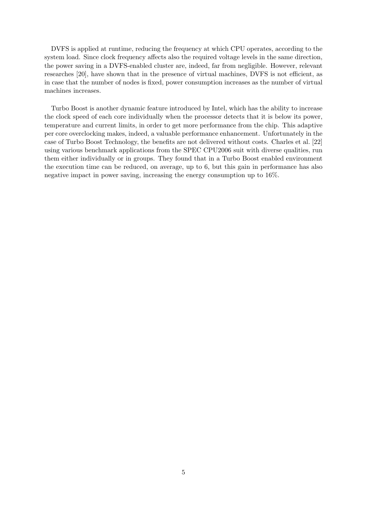DVFS is applied at runtime, reducing the frequency at which CPU operates, according to the system load. Since clock frequency affects also the required voltage levels in the same direction, the power saving in a DVFS-enabled cluster are, indeed, far from negligible. However, relevant researches [20], have shown that in the presence of virtual machines, DVFS is not efficient, as in case that the number of nodes is fixed, power consumption increases as the number of virtual machines increases.

Turbo Boost is another dynamic feature introduced by Intel, which has the ability to increase the clock speed of each core individually when the processor detects that it is below its power, temperature and current limits, in order to get more performance from the chip. This adaptive per core overclocking makes, indeed, a valuable performance enhancement. Unfortunately in the case of Turbo Boost Technology, the benefits are not delivered without costs. Charles et al. [22] using various benchmark applications from the SPEC CPU2006 suit with diverse qualities, run them either individually or in groups. They found that in a Turbo Boost enabled environment the execution time can be reduced, on average, up to 6, but this gain in performance has also negative impact in power saving, increasing the energy consumption up to 16%.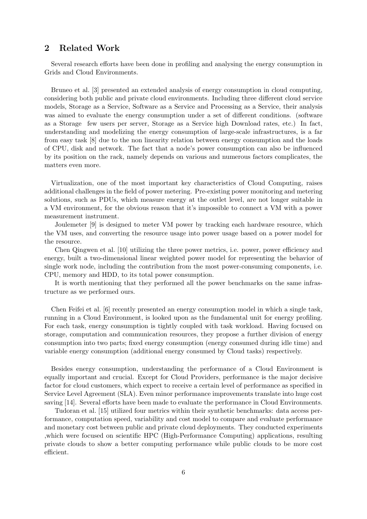## 2 Related Work

Several research efforts have been done in profiling and analysing the energy consumption in Grids and Cloud Environments.

Bruneo et al. [3] presented an extended analysis of energy consumption in cloud computing, considering both public and private cloud environments. Including three different cloud service models, Storage as a Service, Software as a Service and Processing as a Service, their analysis was aimed to evaluate the energy consumption under a set of different conditions. (software as a Storage few users per server, Storage as a Service high Download rates, etc.) In fact, understanding and modelizing the energy consumption of large-scale infrastructures, is a far from easy task [8] due to the non linearity relation between energy consumption and the loads of CPU, disk and network. The fact that a node's power consumption can also be influenced by its position on the rack, namely depends on various and numerous factors complicates, the matters even more.

Virtualization, one of the most important key characteristics of Cloud Computing, raises additional challenges in the field of power metering. Pre-existing power monitoring and metering solutions, such as PDUs, which measure energy at the outlet level, are not longer suitable in a VM environment, for the obvious reason that it's impossible to connect a VM with a power measurement instrument.

Joulemeter [9] is designed to meter VM power by tracking each hardware resource, which the VM uses, and converting the resource usage into power usage based on a power model for the resource.

Chen Qingwen et al. [10] utilizing the three power metrics, i.e. power, power efficiency and energy, built a two-dimensional linear weighted power model for representing the behavior of single work node, including the contribution from the most power-consuming components, i.e. CPU, memory and HDD, to its total power consumption.

It is worth mentioning that they performed all the power benchmarks on the same infrastructure as we performed ours.

Chen Feifei et al. [6] recently presented an energy consumption model in which a single task, running in a Cloud Environment, is looked upon as the fundamental unit for energy profiling. For each task, energy consumption is tightly coupled with task workload. Having focused on storage, computation and communication resources, they propose a further division of energy consumption into two parts; fixed energy consumption (energy consumed during idle time) and variable energy consumption (additional energy consumed by Cloud tasks) respectively.

Besides energy consumption, understanding the performance of a Cloud Environment is equally important and crucial. Except for Cloud Providers, performance is the major decisive factor for cloud customers, which expect to receive a certain level of performance as specified in Service Level Agreement (SLA). Even minor performance improvements translate into huge cost saving [14]. Several efforts have been made to evaluate the performance in Cloud Environments.

Tudoran et al. [15] utilized four metrics within their synthetic benchmarks: data access performance, computation speed, variability and cost model to compare and evaluate performance and monetary cost between public and private cloud deployments. They conducted experiments ,which were focused on scientific HPC (High-Performance Computing) applications, resulting private clouds to show a better computing performance while public clouds to be more cost efficient.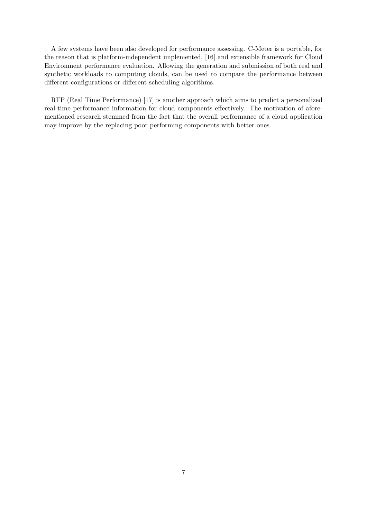A few systems have been also developed for performance assessing. C-Meter is a portable, for the reason that is platform-independent implemented, [16] and extensible framework for Cloud Environment performance evaluation. Allowing the generation and submission of both real and synthetic workloads to computing clouds, can be used to compare the performance between different configurations or different scheduling algorithms.

RTP (Real Time Performance) [17] is another approach which aims to predict a personalized real-time performance information for cloud components effectively. The motivation of aforementioned research stemmed from the fact that the overall performance of a cloud application may improve by the replacing poor performing components with better ones.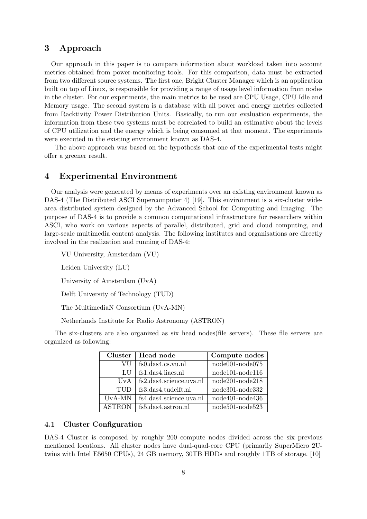## 3 Approach

Our approach in this paper is to compare information about workload taken into account metrics obtained from power-monitoring tools. For this comparison, data must be extracted from two different source systems. The first one, Bright Cluster Manager which is an application built on top of Linux, is responsible for providing a range of usage level information from nodes in the cluster. For our experiments, the main metrics to be used are CPU Usage, CPU Idle and Memory usage. The second system is a database with all power and energy metrics collected from Racktivity Power Distribution Units. Basically, to run our evaluation experiments, the information from these two systems must be correlated to build an estimative about the levels of CPU utilization and the energy which is being consumed at that moment. The experiments were executed in the existing environment known as DAS-4.

The above approach was based on the hypothesis that one of the experimental tests might offer a greener result.

## 4 Experimental Environment

Our analysis were generated by means of experiments over an existing environment known as DAS-4 (The Distributed ASCI Supercomputer 4) [19]. This environment is a six-cluster widearea distributed system designed by the Advanced School for Computing and Imaging. The purpose of DAS-4 is to provide a common computational infrastructure for researchers within ASCI, who work on various aspects of parallel, distributed, grid and cloud computing, and large-scale multimedia content analysis. The following institutes and organisations are directly involved in the realization and running of DAS-4:

VU University, Amsterdam (VU)

Leiden University (LU)

University of Amsterdam (UvA)

Delft University of Technology (TUD)

The MultimediaN Consortium (UvA-MN)

Netherlands Institute for Radio Astronomy (ASTRON)

The six-clusters are also organized as six head nodes(file servers). These file servers are organized as following:

| <b>Cluster</b> | Head node               | Compute nodes     |
|----------------|-------------------------|-------------------|
| VU             | fs0.das4.cs.vu.nl       | $node001-node075$ |
| LU             | fs1.das4.liacs.nl       | $node101-node116$ |
| UvA            | fs2.das4.science.uva.nl | $node201-node218$ |
| TUD            | fs3.das4.tudelft.nl     | node301-node332   |
| UvA-MN         | fs4.das4.science.uva.nl | node401-node436   |
| <b>ASTRON</b>  | fs5.das4.astron.nl      | node501-node523   |

#### 4.1 Cluster Configuration

DAS-4 Cluster is composed by roughly 200 compute nodes divided across the six previous mentioned locations. All cluster nodes have dual-quad-core CPU (primarily SuperMicro 2Utwins with Intel E5650 CPUs), 24 GB memory, 30TB HDDs and roughly 1TB of storage. [10]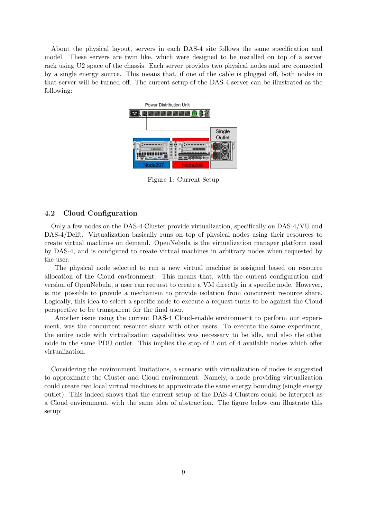About the physical layout, servers in each DAS-4 site follows the same specification and model. These servers are twin like, which were designed to be installed on top of a server rack using U2 space of the chassis. Each server provides two physical nodes and are connected by a single energy source. This means that, if one of the cable is plugged off, both nodes in that server will be turned off. The current setup of the DAS-4 server can be illustrated as the following:



Figure 1: Current Setup

#### 4.2 Cloud Configuration

Only a few nodes on the DAS-4 Cluster provide virtualization, specifically on DAS-4/VU and DAS-4/Delft. Virtualization basically runs on top of physical nodes using their resources to create virtual machines on demand. OpenNebula is the virtualization manager platform used by DAS-4, and is configured to create virtual machines in arbitrary nodes when requested by the user.

The physical node selected to run a new virtual machine is assigned based on resource allocation of the Cloud environment. This means that, with the current configuration and version of OpenNebula, a user can request to create a VM directly in a specific node. However, is not possible to provide a mechanism to provide isolation from concurrent resource share. Logically, this idea to select a specific node to execute a request turns to be against the Cloud perspective to be transparent for the final user.

Another issue using the current DAS-4 Cloud-enable environment to perform our experiment, was the concurrent resource share with other users. To execute the same experiment, the entire node with virtualization capabilities was necessary to be idle, and also the other node in the same PDU outlet. This implies the stop of 2 out of 4 available nodes which offer virtualization.

Considering the environment limitations, a scenario with virtualization of nodes is suggested to approximate the Cluster and Cloud environment. Namely, a node providing virtualization could create two local virtual machines to approximate the same energy bounding (single energy outlet). This indeed shows that the current setup of the DAS-4 Clusters could be interpret as a Cloud environment, with the same idea of abstraction. The figure below can illustrate this setup: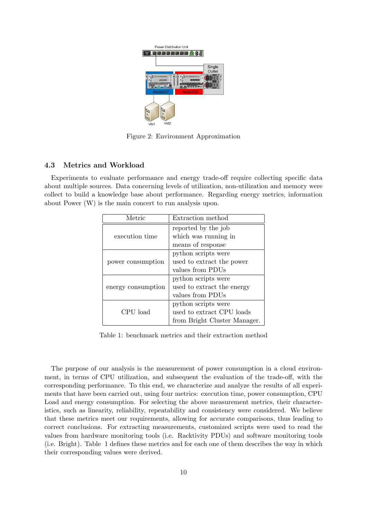

Figure 2: Environment Approximation

### 4.3 Metrics and Workload

Experiments to evaluate performance and energy trade-off require collecting specific data about multiple sources. Data concerning levels of utilization, non-utilization and memory were collect to build a knowledge base about performance. Regarding energy metrics, information about Power (W) is the main concert to run analysis upon.

| Metric             | Extraction method            |  |  |
|--------------------|------------------------------|--|--|
|                    | reported by the job          |  |  |
| execution time     | which was running in         |  |  |
|                    | means of response            |  |  |
|                    | python scripts were          |  |  |
| power consumption  | used to extract the power    |  |  |
|                    | values from PDUs             |  |  |
|                    | python scripts were          |  |  |
| energy consumption | used to extract the energy   |  |  |
|                    | values from PDUs             |  |  |
|                    | python scripts were          |  |  |
| CPU load           | used to extract CPU loads    |  |  |
|                    | from Bright Cluster Manager. |  |  |

Table 1: benchmark metrics and their extraction method

The purpose of our analysis is the measurement of power consumption in a cloud environment, in terms of CPU utilization, and subsequent the evaluation of the trade-off, with the corresponding performance. To this end, we characterize and analyze the results of all experiments that have been carried out, using four metrics: execution time, power consumption, CPU Load and energy consumption. For selecting the above measurement metrics, their characteristics, such as linearity, reliability, repeatability and consistency were considered. We believe that these metrics meet our requirements, allowing for accurate comparisons, thus leading to correct conclusions. For extracting measurements, customized scripts were used to read the values from hardware monitoring tools (i.e. Racktivity PDUs) and software monitoring tools (i.e. Bright). Table 1 defines these metrics and for each one of them describes the way in which their corresponding values were derived.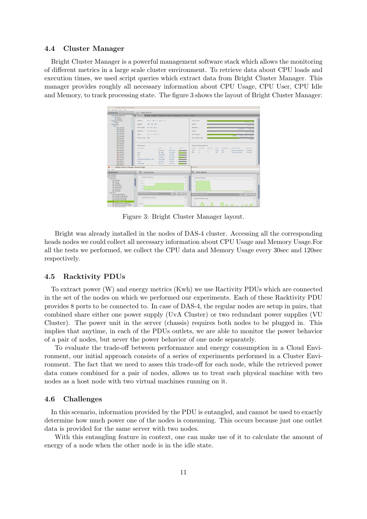#### 4.4 Cluster Manager

Bright Cluster Manager is a powerful management software stack which allows the monitoring of different metrics in a large scale cluster environment. To retrieve data about CPU loads and execution times, we used script queries which extract data from Bright Cluster Manager. This manager provides roughly all necessary information about CPU Usage, CPU User, CPU Idle and Memory, to track processing state. The figure 3 shows the layout of Bright Cluster Manager:



Figure 3: Bright Cluster Manager layout.

Bright was already installed in the nodes of DAS-4 cluster. Accessing all the corresponding heads nodes we could collect all necessary information about CPU Usage and Memory Usage.For all the tests we performed, we collect the CPU data and Memory Usage every 30sec and 120sec respectively.

#### 4.5 Racktivity PDUs

To extract power (W) and energy metrics (Kwh) we use Ractivity PDUs which are connected in the set of the nodes on which we performed our experiments. Each of these Racktivity PDU provides 8 ports to be connected to. In case of DAS-4, the regular nodes are setup in pairs, that combined share either one power supply (UvA Cluster) or two redundant power supplies (VU Cluster). The power unit in the server (chassis) requires both nodes to be plugged in. This implies that anytime, in each of the PDUs outlets, we are able to monitor the power behavior of a pair of nodes, but never the power behavior of one node separately.

To evaluate the trade-off between performance and energy consumption in a Cloud Environment, our initial approach consists of a series of experiments performed in a Cluster Environment. The fact that we need to asses this trade-off for each node, while the retrieved power data comes combined for a pair of nodes, allows us to treat each physical machine with two nodes as a host node with two virtual machines running on it.

#### 4.6 Challenges

In this scenario, information provided by the PDU is entangled, and cannot be used to exactly determine how much power one of the nodes is consuming. This occurs because just one outlet data is provided for the same server with two nodes.

With this entangling feature in context, one can make use of it to calculate the amount of energy of a node when the other node is in the idle state.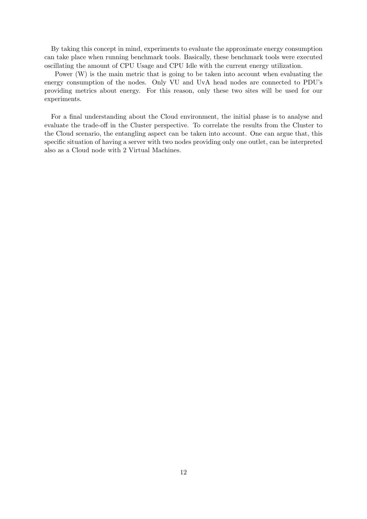By taking this concept in mind, experiments to evaluate the approximate energy consumption can take place when running benchmark tools. Basically, these benchmark tools were executed oscillating the amount of CPU Usage and CPU Idle with the current energy utilization.

Power (W) is the main metric that is going to be taken into account when evaluating the energy consumption of the nodes. Only VU and UvA head nodes are connected to PDU's providing metrics about energy. For this reason, only these two sites will be used for our experiments.

For a final understanding about the Cloud environment, the initial phase is to analyse and evaluate the trade-off in the Cluster perspective. To correlate the results from the Cluster to the Cloud scenario, the entangling aspect can be taken into account. One can argue that, this specific situation of having a server with two nodes providing only one outlet, can be interpreted also as a Cloud node with 2 Virtual Machines.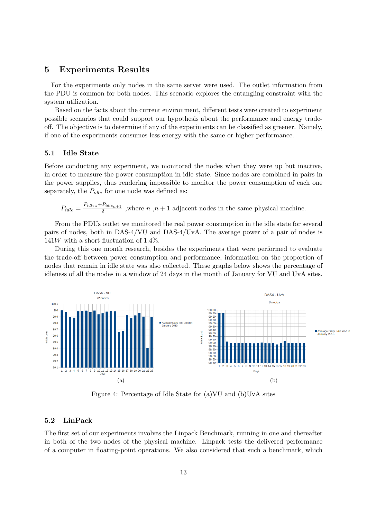## 5 Experiments Results

For the experiments only nodes in the same server were used. The outlet information from the PDU is common for both nodes. This scenario explores the entangling constraint with the system utilization.

Based on the facts about the current environment, different tests were created to experiment possible scenarios that could support our hypothesis about the performance and energy tradeoff. The objective is to determine if any of the experiments can be classified as greener. Namely, if one of the experiments consumes less energy with the same or higher performance.

## 5.1 Idle State

Before conducting any experiment, we monitored the nodes when they were up but inactive, in order to measure the power consumption in idle state. Since nodes are combined in pairs in the power supplies, thus rendering impossible to monitor the power consumption of each one separately, the  $P_{idle}$  for one node was defined as:

$$
P_{idle} = \frac{P_{idle_n} + P_{idle_{n+1}}}{2}
$$
, where  $n, n+1$  adjacent nodes in the same physical machine.

From the PDUs outlet we monitored the real power consumption in the idle state for several pairs of nodes, both in DAS-4/VU and DAS-4/UvA. The average power of a pair of nodes is  $141W$  with a short fluctuation of  $1.4\%$ .

During this one month research, besides the experiments that were performed to evaluate the trade-off between power consumption and performance, information on the proportion of nodes that remain in idle state was also collected. These graphs below shows the percentage of idleness of all the nodes in a window of 24 days in the month of January for VU and UvA sites.



Figure 4: Percentage of Idle State for (a)VU and (b)UvA sites

#### 5.2 LinPack

The first set of our experiments involves the Linpack Benchmark, running in one and thereafter in both of the two nodes of the physical machine. Linpack tests the delivered performance of a computer in floating-point operations. We also considered that such a benchmark, which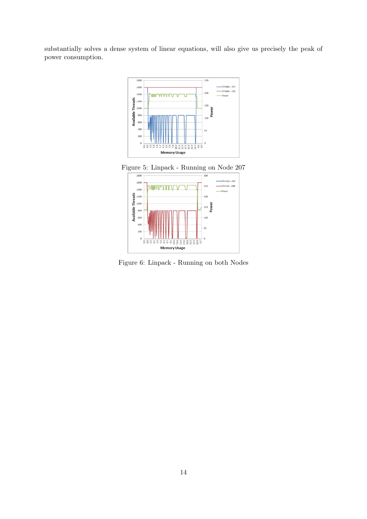substantially solves a dense system of linear equations, will also give us precisely the peak of power consumption.



Figure 5: Linpack - Running on Node 207



Figure 6: Linpack - Running on both Nodes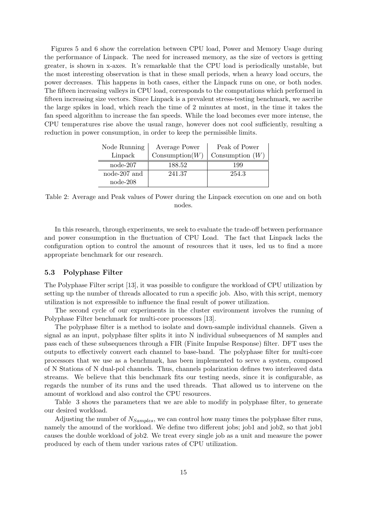Figures 5 and 6 show the correlation between CPU load, Power and Memory Usage during the performance of Linpack. The need for increased memory, as the size of vectors is getting greater, is shown in x-axes. It's remarkable that the CPU load is periodically unstable, but the most interesting observation is that in these small periods, when a heavy load occurs, the power decreases. This happens in both cases, either the Linpack runs on one, or both nodes. The fifteen increasing valleys in CPU load, corresponds to the computations which performed in fifteen increasing size vectors. Since Linpack is a prevalent stress-testing benchmark, we ascribe the large spikes in load, which reach the time of 2 minutes at most, in the time it takes the fan speed algorithm to increase the fan speeds. While the load becomes ever more intense, the CPU temperatures rise above the usual range, however does not cool sufficiently, resulting a reduction in power consumption, in order to keep the permissible limits.

| Node Running | Average Power             | Peak of Power     |
|--------------|---------------------------|-------------------|
| Linpack      | $\mathrm{Consumption}(W)$ | Consumption $(W)$ |
| $node-207$   | 188.52                    | 199               |
| node-207 and | 241.37                    | 254.3             |
| $node-208$   |                           |                   |

Table 2: Average and Peak values of Power during the Linpack execution on one and on both nodes.

In this research, through experiments, we seek to evaluate the trade-off between performance and power consumption in the fluctuation of CPU Load. The fact that Linpack lacks the configuration option to control the amount of resources that it uses, led us to find a more appropriate benchmark for our research.

#### 5.3 Polyphase Filter

The Polyphase Filter script [13], it was possible to configure the workload of CPU utilization by setting up the number of threads allocated to run a specific job. Also, with this script, memory utilization is not expressible to influence the final result of power utilization.

The second cycle of our experiments in the cluster environment involves the running of Polyphase Filter benchmark for multi-core processors [13].

The polyphase filter is a method to isolate and down-sample individual channels. Given a signal as an input, polyphase filter splits it into N individual subsequences of M samples and pass each of these subsequences through a FIR (Finite Impulse Response) filter. DFT uses the outputs to effectively convert each channel to base-band. The polyphase filter for multi-core processors that we use as a benchmark, has been implemented to serve a system, composed of N Stations of N dual-pol channels. Thus, channels polarization defines two interleaved data streams. We believe that this benchmark fits our testing needs, since it is configurable, as regards the number of its runs and the used threads. That allowed us to intervene on the amount of workload and also control the CPU resources.

Table 3 shows the parameters that we are able to modify in polyphase filter, to generate our desired workload.

Adjusting the number of  $N_{Samples}$ , we can control how many times the polyphase filter runs, namely the amound of the workload. We define two different jobs; job1 and job2, so that job1 causes the double workload of job2. We treat every single job as a unit and measure the power produced by each of them under various rates of CPU utilization.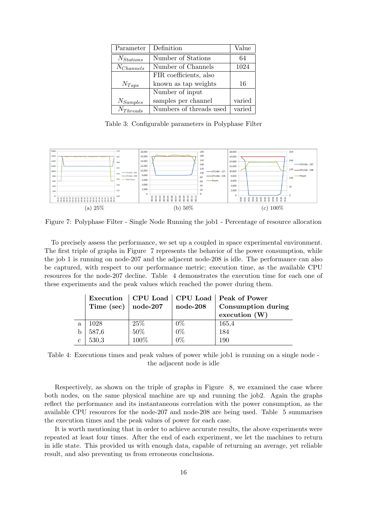| Parameter      | Definition              | Value  |
|----------------|-------------------------|--------|
| $N_{Stations}$ | Number of Stations      | 64     |
| $N_{Channels}$ | Number of Channels      | 1024   |
|                | FIR coefficients, also  |        |
| $N_{Taps}$     | known as tap weights    | 16     |
|                | Number of input         |        |
| $N_{Samples}$  | samples per channel     | varied |
| $N_{Threads}$  | Numbers of threads used | varied |

Table 3: Configurable parameters in Polyphase Filter



Figure 7: Polyphase Filter - Single Node Running the job1 - Percentage of resource allocation

To precisely assess the performance, we set up a coupled in space experimental environment. The first triple of graphs in Figure 7 represents the behavior of the power consumption, while the job 1 is running on node-207 and the adjacent node-208 is idle. The performance can also be captured, with respect to our performance metric; execution time, as the available CPU resources for the node-207 decline. Table 4 demonstrates the execution time for each one of these experiments and the peak values which reached the power during them.

|              |            |                          |            | Execution   CPU Load   CPU Load   Peak of Power |
|--------------|------------|--------------------------|------------|-------------------------------------------------|
|              | Time (sec) | $\bold{node}\text{-}207$ | $node-208$ | Consumption during                              |
|              |            |                          |            | execution $(W)$                                 |
| $\mathbf{a}$ | 1028       | 25%                      | $0\%$      | 165,4                                           |
|              | 587,6      | $50\%$                   | $0\%$      | 184                                             |
| $\mathbf{c}$ | 530,3      | 100%                     | $0\%$      | 190                                             |

Table 4: Executions times and peak values of power while job1 is running on a single node the adjacent node is idle

Respectively, as shown on the triple of graphs in Figure 8, we examined the case where both nodes, on the same physical machine are up and running the job2. Again the graphs reflect the performance and its instantaneous correlation with the power consumption, as the available CPU resources for the node-207 and node-208 are being used. Table 5 summarises the execution times and the peak values of power for each case.

It is worth mentioning that in order to achieve accurate results, the above experiments were repeated at least four times. After the end of each experiment, we let the machines to return in idle state. This provided us with enough data, capable of returning an average, yet reliable result, and also preventing us from erroneous conclusions.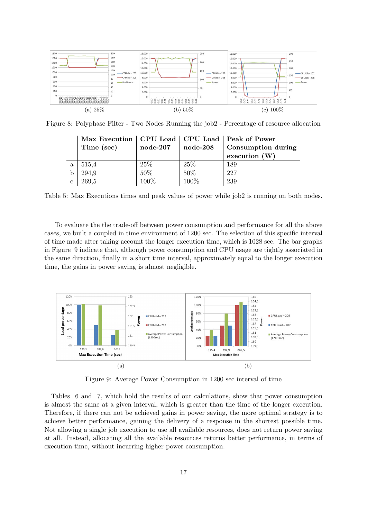

Figure 8: Polyphase Filter - Two Nodes Running the job2 - Percentage of resource allocation

|              | Max Execution   CPU Load   CPU Load   Peak of Power |                      |                     |                    |
|--------------|-----------------------------------------------------|----------------------|---------------------|--------------------|
|              | Time (sec)                                          | $node-207$           | $node-208$          | Consumption during |
|              |                                                     |                      |                     | execution $(W)$    |
| a            | 515,4                                               | 25\%                 |                     | 189                |
|              | 294,9                                               | $\frac{50\%}{100\%}$ | $\frac{25\%}{50\%}$ | 227                |
| $\mathbf{c}$ | 269.5                                               |                      | 100%                | 239                |

Table 5: Max Executions times and peak values of power while job2 is running on both nodes.

To evaluate the the trade-off between power consumption and performance for all the above cases, we built a coupled in time environment of 1200 sec. The selection of this specific interval of time made after taking account the longer execution time, which is 1028 sec. The bar graphs in Figure 9 indicate that, although power consumption and CPU usage are tightly associated in the same direction, finally in a short time interval, approximately equal to the longer execution time, the gains in power saving is almost negligible.



Figure 9: Average Power Consumption in 1200 sec interval of time

Tables 6 and 7, which hold the results of our calculations, show that power consumption is almost the same at a given interval, which is greater than the time of the longer execution. Therefore, if there can not be achieved gains in power saving, the more optimal strategy is to achieve better performance, gaining the delivery of a response in the shortest possible time. Not allowing a single job execution to use all available resources, does not return power saving at all. Instead, allocating all the available resources returns better performance, in terms of execution time, without incurring higher power consumption.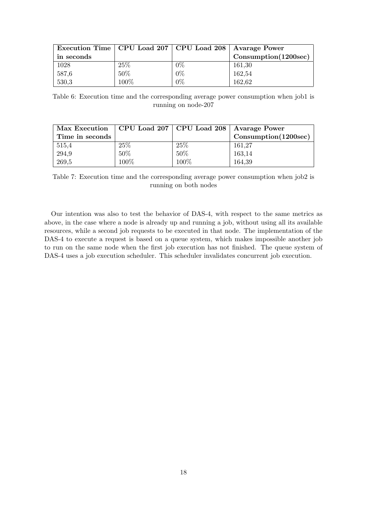| Execution Time   CPU Load 207   CPU Load 208   Avarage Power |      |       |                                        |
|--------------------------------------------------------------|------|-------|----------------------------------------|
| in seconds                                                   |      |       | $\textbf{Consumption}(1200\text{sec})$ |
| 1028                                                         | 25%  | $0\%$ | 161,30                                 |
| 587,6                                                        | 50%  | $0\%$ | 162,54                                 |
| 530,3                                                        | 100% | $0\%$ | 162,62                                 |

Table 6: Execution time and the corresponding average power consumption when job1 is running on node-207

| Max Execution   CPU Load 207   CPU Load 208   Avarage Power |      |        |                                           |
|-------------------------------------------------------------|------|--------|-------------------------------------------|
| Time in seconds                                             |      |        | $\mathrm{Consumption} (1200\mathrm{sec})$ |
| 515,4                                                       | 25%  | 25\%   | 161,27                                    |
| 294,9                                                       | 50%  | $50\%$ | 163,14                                    |
| 269,5                                                       | 100% | 100%   | 164,39                                    |

Table 7: Execution time and the corresponding average power consumption when job2 is running on both nodes

Our intention was also to test the behavior of DAS-4, with respect to the same metrics as above, in the case where a node is already up and running a job, without using all its available resources, while a second job requests to be executed in that node. The implementation of the DAS-4 to execute a request is based on a queue system, which makes impossible another job to run on the same node when the first job execution has not finished. The queue system of DAS-4 uses a job execution scheduler. This scheduler invalidates concurrent job execution.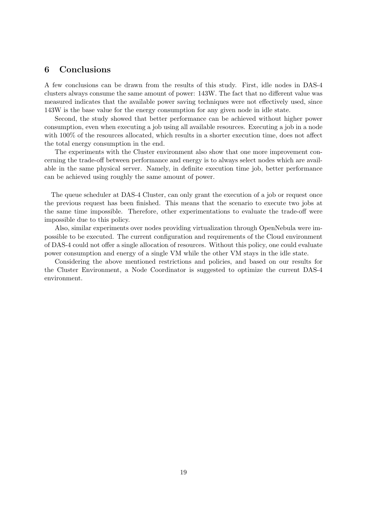## 6 Conclusions

A few conclusions can be drawn from the results of this study. First, idle nodes in DAS-4 clusters always consume the same amount of power: 143W. The fact that no different value was measured indicates that the available power saving techniques were not effectively used, since 143W is the base value for the energy consumption for any given node in idle state.

Second, the study showed that better performance can be achieved without higher power consumption, even when executing a job using all available resources. Executing a job in a node with  $100\%$  of the resources allocated, which results in a shorter execution time, does not affect the total energy consumption in the end.

The experiments with the Cluster environment also show that one more improvement concerning the trade-off between performance and energy is to always select nodes which are available in the same physical server. Namely, in definite execution time job, better performance can be achieved using roughly the same amount of power.

The queue scheduler at DAS-4 Cluster, can only grant the execution of a job or request once the previous request has been finished. This means that the scenario to execute two jobs at the same time impossible. Therefore, other experimentations to evaluate the trade-off were impossible due to this policy.

Also, similar experiments over nodes providing virtualization through OpenNebula were impossible to be executed. The current configuration and requirements of the Cloud environment of DAS-4 could not offer a single allocation of resources. Without this policy, one could evaluate power consumption and energy of a single VM while the other VM stays in the idle state.

Considering the above mentioned restrictions and policies, and based on our results for the Cluster Environment, a Node Coordinator is suggested to optimize the current DAS-4 environment.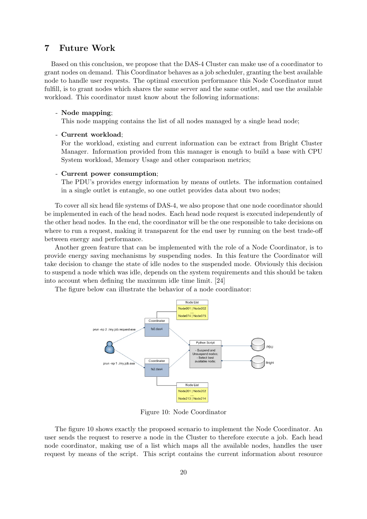## 7 Future Work

Based on this conclusion, we propose that the DAS-4 Cluster can make use of a coordinator to grant nodes on demand. This Coordinator behaves as a job scheduler, granting the best available node to handle user requests. The optimal execution performance this Node Coordinator must fulfill, is to grant nodes which shares the same server and the same outlet, and use the available workload. This coordinator must know about the following informations:

#### - Node mapping;

This node mapping contains the list of all nodes managed by a single head node;

#### - Current workload;

For the workload, existing and current information can be extract from Bright Cluster Manager. Information provided from this manager is enough to build a base with CPU System workload, Memory Usage and other comparison metrics;

#### - Current power consumption;

The PDU's provides energy information by means of outlets. The information contained in a single outlet is entangle, so one outlet provides data about two nodes;

To cover all six head file systems of DAS-4, we also propose that one node coordinator should be implemented in each of the head nodes. Each head node request is executed independently of the other head nodes. In the end, the coordinator will be the one responsible to take decisions on where to run a request, making it transparent for the end user by running on the best trade-off between energy and performance.

Another green feature that can be implemented with the role of a Node Coordinator, is to provide energy saving mechanisms by suspending nodes. In this feature the Coordinator will take decision to change the state of idle nodes to the suspended mode. Obviously this decision to suspend a node which was idle, depends on the system requirements and this should be taken into account when defining the maximum idle time limit. [24]

The figure below can illustrate the behavior of a node coordinator:



Figure 10: Node Coordinator

The figure 10 shows exactly the proposed scenario to implement the Node Coordinator. An user sends the request to reserve a node in the Cluster to therefore execute a job. Each head node coordinator, making use of a list which maps all the available nodes, handles the user request by means of the script. This script contains the current information about resource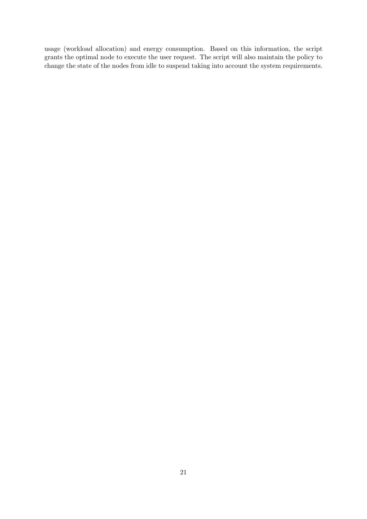usage (workload allocation) and energy consumption. Based on this information, the script grants the optimal node to execute the user request. The script will also maintain the policy to change the state of the nodes from idle to suspend taking into account the system requirements.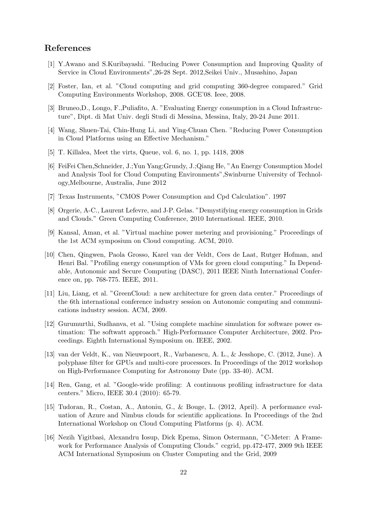## References

- [1] Y.Awano and S.Kuribayashi. "Reducing Power Consumption and Improving Quality of Service in Cloud Environments",26-28 Sept. 2012,Seikei Univ., Musashino, Japan
- [2] Foster, Ian, et al. "Cloud computing and grid computing 360-degree compared." Grid Computing Environments Workshop, 2008. GCE'08. Ieee, 2008.
- [3] Bruneo,D., Longo, F.,Puliafito, A. "Evaluating Energy consumption in a Cloud Infrastructure", Dipt. di Mat Univ. degli Studi di Messina, Messina, Italy, 20-24 June 2011.
- [4] Wang, Shuen-Tai, Chin-Hung Li, and Ying-Chuan Chen. "Reducing Power Consumption in Cloud Platforms using an Effective Mechanism."
- [5] T. Killalea, Meet the virts, Queue, vol. 6, no. 1, pp. 1418, 2008
- [6] FeiFei Chen,Schneider, J.;Yun Yang;Grundy, J.;Qiang He, "An Energy Consumption Model and Analysis Tool for Cloud Computing Environments",Swinburne University of Technology,Melbourne, Australia, June 2012
- [7] Texas Instruments, "CMOS Power Consumption and Cpd Calculation". 1997
- [8] Orgerie, A-C., Laurent Lefevre, and J-P. Gelas. "Demystifying energy consumption in Grids and Clouds." Green Computing Conference, 2010 International. IEEE, 2010.
- [9] Kansal, Aman, et al. "Virtual machine power metering and provisioning." Proceedings of the 1st ACM symposium on Cloud computing. ACM, 2010.
- [10] Chen, Qingwen, Paola Grosso, Karel van der Veldt, Cees de Laat, Rutger Hofman, and Henri Bal. "Profiling energy consumption of VMs for green cloud computing." In Dependable, Autonomic and Secure Computing (DASC), 2011 IEEE Ninth International Conference on, pp. 768-775. IEEE, 2011.
- [11] Liu, Liang, et al. "GreenCloud: a new architecture for green data center." Proceedings of the 6th international conference industry session on Autonomic computing and communications industry session. ACM, 2009.
- [12] Gurumurthi, Sudhanva, et al. "Using complete machine simulation for software power estimation: The softwatt approach." High-Performance Computer Architecture, 2002. Proceedings. Eighth International Symposium on. IEEE, 2002.
- [13] van der Veldt, K., van Nieuwpoort, R., Varbanescu, A. L., & Jesshope, C. (2012, June). A polyphase filter for GPUs and multi-core processors. In Proceedings of the 2012 workshop on High-Performance Computing for Astronomy Date (pp. 33-40). ACM.
- [14] Ren, Gang, et al. "Google-wide profiling: A continuous profiling infrastructure for data centers." Micro, IEEE 30.4 (2010): 65-79.
- [15] Tudoran, R., Costan, A., Antoniu, G., & Bouge, L. (2012, April). A performance evaluation of Azure and Nimbus clouds for scientific applications. In Proceedings of the 2nd International Workshop on Cloud Computing Platforms (p. 4). ACM.
- [16] Nezih Yigitbasi, Alexandru Iosup, Dick Epema, Simon Ostermann, "C-Meter: A Framework for Performance Analysis of Computing Clouds." ccgrid, pp.472-477, 2009 9th IEEE ACM International Symposium on Cluster Computing and the Grid, 2009